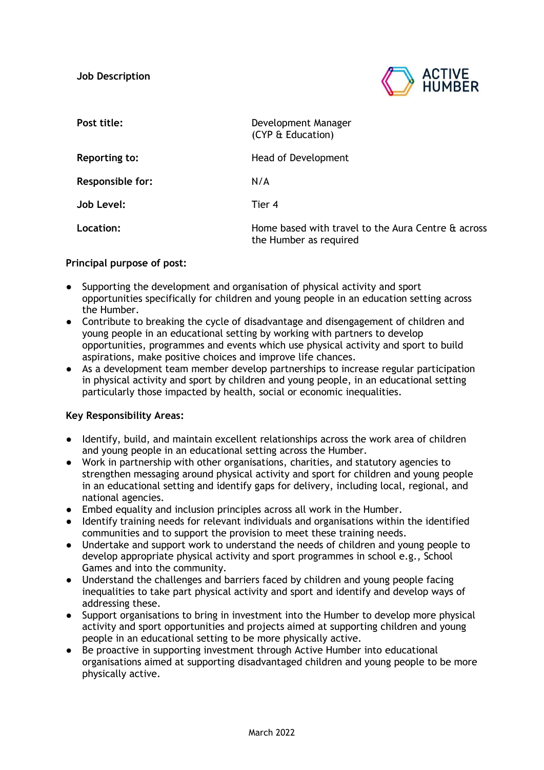

| Post title:             | Development Manager<br>(CYP & Education)                                     |
|-------------------------|------------------------------------------------------------------------------|
| <b>Reporting to:</b>    | Head of Development                                                          |
| <b>Responsible for:</b> | N/A                                                                          |
| <b>Job Level:</b>       | Tier 4                                                                       |
| <b>Location:</b>        | Home based with travel to the Aura Centre & across<br>the Humber as required |

## **Principal purpose of post:**

- Supporting the development and organisation of physical activity and sport opportunities specifically for children and young people in an education setting across the Humber.
- Contribute to breaking the cycle of disadvantage and disengagement of children and young people in an educational setting by working with partners to develop opportunities, programmes and events which use physical activity and sport to build aspirations, make positive choices and improve life chances.
- As a development team member develop partnerships to increase regular participation in physical activity and sport by children and young people, in an educational setting particularly those impacted by health, social or economic inequalities.

## **Key Responsibility Areas:**

- Identify, build, and maintain excellent relationships across the work area of children and young people in an educational setting across the Humber.
- Work in partnership with other organisations, charities, and statutory agencies to strengthen messaging around physical activity and sport for children and young people in an educational setting and identify gaps for delivery, including local, regional, and national agencies.
- Embed equality and inclusion principles across all work in the Humber.
- Identify training needs for relevant individuals and organisations within the identified communities and to support the provision to meet these training needs.
- Undertake and support work to understand the needs of children and young people to develop appropriate physical activity and sport programmes in school e.g., School Games and into the community.
- Understand the challenges and barriers faced by children and young people facing inequalities to take part physical activity and sport and identify and develop ways of addressing these.
- Support organisations to bring in investment into the Humber to develop more physical activity and sport opportunities and projects aimed at supporting children and young people in an educational setting to be more physically active.
- Be proactive in supporting investment through Active Humber into educational organisations aimed at supporting disadvantaged children and young people to be more physically active.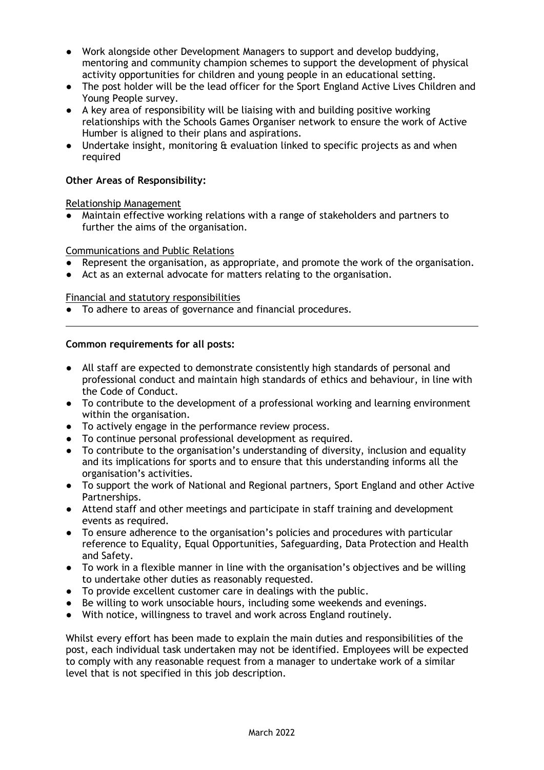- Work alongside other Development Managers to support and develop buddying, mentoring and community champion schemes to support the development of physical activity opportunities for children and young people in an educational setting.
- The post holder will be the lead officer for the Sport England Active Lives Children and Young People survey.
- A key area of responsibility will be liaising with and building positive working relationships with the Schools Games Organiser network to ensure the work of Active Humber is aligned to their plans and aspirations.
- Undertake insight, monitoring & evaluation linked to specific projects as and when required

## **Other Areas of Responsibility:**

Relationship Management

● Maintain effective working relations with a range of stakeholders and partners to further the aims of the organisation.

### Communications and Public Relations

- Represent the organisation, as appropriate, and promote the work of the organisation.
- Act as an external advocate for matters relating to the organisation.

#### Financial and statutory responsibilities

● To adhere to areas of governance and financial procedures.

### **Common requirements for all posts:**

- All staff are expected to demonstrate consistently high standards of personal and professional conduct and maintain high standards of ethics and behaviour, in line with the Code of Conduct.
- To contribute to the development of a professional working and learning environment within the organisation.
- To actively engage in the performance review process.
- To continue personal professional development as required.
- To contribute to the organisation's understanding of diversity, inclusion and equality and its implications for sports and to ensure that this understanding informs all the organisation's activities.
- To support the work of National and Regional partners, Sport England and other Active Partnerships.
- Attend staff and other meetings and participate in staff training and development events as required.
- To ensure adherence to the organisation's policies and procedures with particular reference to Equality, Equal Opportunities, Safeguarding, Data Protection and Health and Safety.
- To work in a flexible manner in line with the organisation's objectives and be willing to undertake other duties as reasonably requested.
- To provide excellent customer care in dealings with the public.
- Be willing to work unsociable hours, including some weekends and evenings.
- With notice, willingness to travel and work across England routinely.

Whilst every effort has been made to explain the main duties and responsibilities of the post, each individual task undertaken may not be identified. Employees will be expected to comply with any reasonable request from a manager to undertake work of a similar level that is not specified in this job description.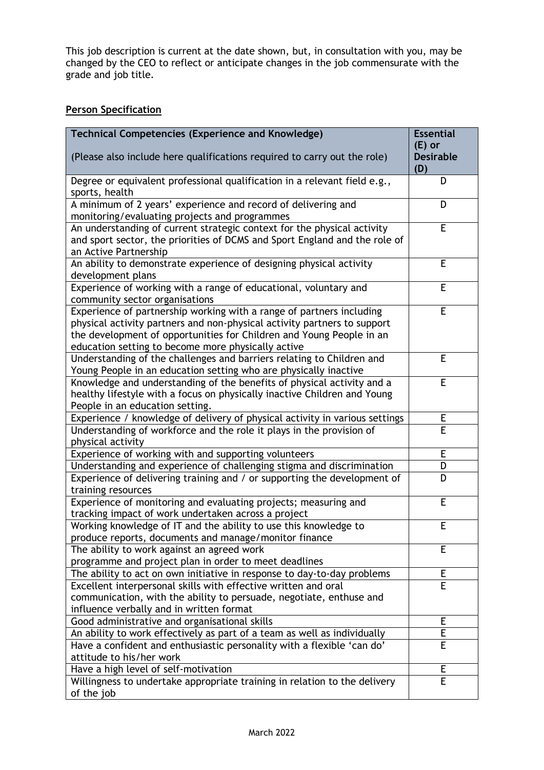This job description is current at the date shown, but, in consultation with you, may be changed by the CEO to reflect or anticipate changes in the job commensurate with the grade and job title.

# **Person Specification**

| <b>Technical Competencies (Experience and Knowledge)</b>                                                                                  | <b>Essential</b> |
|-------------------------------------------------------------------------------------------------------------------------------------------|------------------|
|                                                                                                                                           | $(E)$ or         |
| (Please also include here qualifications required to carry out the role)                                                                  | <b>Desirable</b> |
| Degree or equivalent professional qualification in a relevant field e.g.,                                                                 | (D)<br>D         |
| sports, health                                                                                                                            |                  |
| A minimum of 2 years' experience and record of delivering and                                                                             | D                |
| monitoring/evaluating projects and programmes                                                                                             |                  |
| An understanding of current strategic context for the physical activity                                                                   | E                |
| and sport sector, the priorities of DCMS and Sport England and the role of                                                                |                  |
| an Active Partnership                                                                                                                     |                  |
| An ability to demonstrate experience of designing physical activity                                                                       | E                |
| development plans                                                                                                                         |                  |
| Experience of working with a range of educational, voluntary and                                                                          | E                |
| community sector organisations                                                                                                            |                  |
| Experience of partnership working with a range of partners including                                                                      | E                |
| physical activity partners and non-physical activity partners to support                                                                  |                  |
| the development of opportunities for Children and Young People in an                                                                      |                  |
| education setting to become more physically active                                                                                        |                  |
| Understanding of the challenges and barriers relating to Children and                                                                     | E                |
| Young People in an education setting who are physically inactive                                                                          |                  |
| Knowledge and understanding of the benefits of physical activity and a                                                                    | E                |
| healthy lifestyle with a focus on physically inactive Children and Young                                                                  |                  |
| People in an education setting.                                                                                                           |                  |
| Experience / knowledge of delivery of physical activity in various settings                                                               | E                |
| Understanding of workforce and the role it plays in the provision of                                                                      | $\overline{E}$   |
| physical activity                                                                                                                         |                  |
| Experience of working with and supporting volunteers                                                                                      | E                |
| Understanding and experience of challenging stigma and discrimination                                                                     | D                |
| Experience of delivering training and / or supporting the development of                                                                  | D                |
| training resources                                                                                                                        |                  |
| Experience of monitoring and evaluating projects; measuring and                                                                           | E                |
| tracking impact of work undertaken across a project                                                                                       |                  |
| Working knowledge of IT and the ability to use this knowledge to                                                                          | E                |
| produce reports, documents and manage/monitor finance                                                                                     |                  |
| The ability to work against an agreed work                                                                                                | E                |
| programme and project plan in order to meet deadlines                                                                                     | Е                |
| The ability to act on own initiative in response to day-to-day problems<br>Excellent interpersonal skills with effective written and oral | E                |
|                                                                                                                                           |                  |
| communication, with the ability to persuade, negotiate, enthuse and<br>influence verbally and in written format                           |                  |
| Good administrative and organisational skills                                                                                             | E                |
| An ability to work effectively as part of a team as well as individually                                                                  | Ε                |
| Have a confident and enthusiastic personality with a flexible 'can do'                                                                    | E                |
| attitude to his/her work                                                                                                                  |                  |
| Have a high level of self-motivation                                                                                                      | E                |
| Willingness to undertake appropriate training in relation to the delivery                                                                 | E                |
| of the job                                                                                                                                |                  |
|                                                                                                                                           |                  |